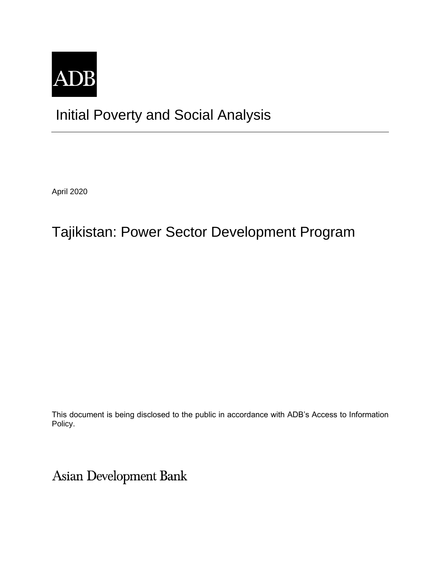

# Initial Poverty and Social Analysis

April 2020

# Tajikistan: Power Sector Development Program

This document is being disclosed to the public in accordance with ADB's Access to Information Policy.

Asian Development Bank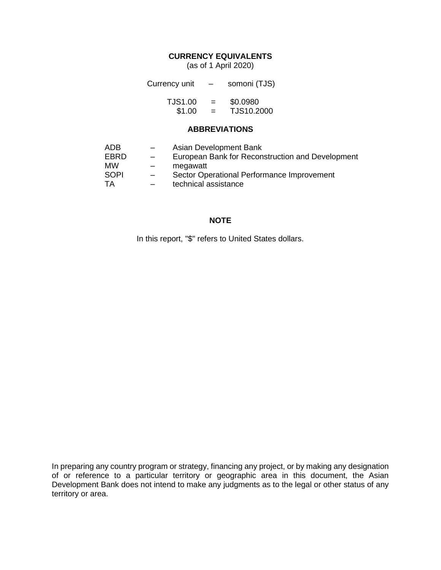### **CURRENCY EQUIVALENTS**

(as of 1 April 2020)

| Currency unit  | $\overline{\phantom{m}}$ | somoni (TJS) |  |
|----------------|--------------------------|--------------|--|
| <b>TJS1.00</b> | $=$                      | \$0.0980     |  |
| \$1.00         | $=$                      | TJS10.2000   |  |

#### **ABBREVIATIONS**

| ADB       | -                        | Asian Development Bank                           |
|-----------|--------------------------|--------------------------------------------------|
| EBRD      | $\qquad \qquad -$        | European Bank for Reconstruction and Development |
| <b>MW</b> | $\overline{\phantom{0}}$ | megawatt                                         |
| SOPI      | $-$                      | Sector Operational Performance Improvement       |
| TA        |                          | technical assistance                             |

#### **NOTE**

In this report, "\$" refers to United States dollars.

In preparing any country program or strategy, financing any project, or by making any designation of or reference to a particular territory or geographic area in this document, the Asian Development Bank does not intend to make any judgments as to the legal or other status of any territory or area.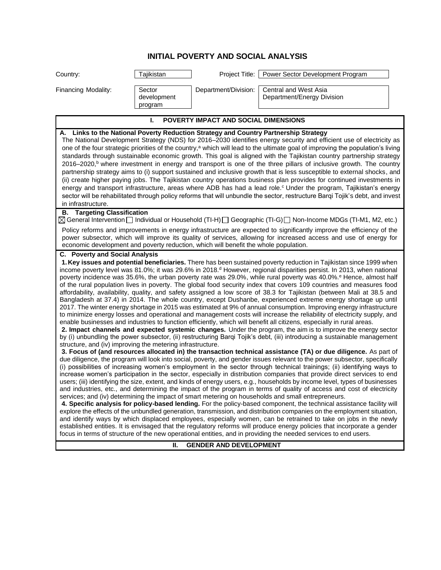### **INITIAL POVERTY AND SOCIAL ANALYSIS**

| Department/Division:<br><b>Central and West Asia</b><br>Financing Modality:<br>Sector<br>development<br>Department/Energy Division<br>program<br>POVERTY IMPACT AND SOCIAL DIMENSIONS<br>ı.<br>A. Links to the National Poverty Reduction Strategy and Country Partnership Strategy<br>The National Development Strategy (NDS) for 2016–2030 identifies energy security and efficient use of electricity as                                                                                                                                                                                                                                                                                                                                                                                                                                                                                                                                                                                                                                                                                                                                                                                                                                                                                                                                                                                                                                                                                                                                                                                                                                                                                                                                                                                                                                                                                                                                                                                                                                                                                                                                                                                                                                                                                                                                                                                                                                                                                                                                                                                                                                                                                                                                                                                                                                                                                                                                                                       |
|-----------------------------------------------------------------------------------------------------------------------------------------------------------------------------------------------------------------------------------------------------------------------------------------------------------------------------------------------------------------------------------------------------------------------------------------------------------------------------------------------------------------------------------------------------------------------------------------------------------------------------------------------------------------------------------------------------------------------------------------------------------------------------------------------------------------------------------------------------------------------------------------------------------------------------------------------------------------------------------------------------------------------------------------------------------------------------------------------------------------------------------------------------------------------------------------------------------------------------------------------------------------------------------------------------------------------------------------------------------------------------------------------------------------------------------------------------------------------------------------------------------------------------------------------------------------------------------------------------------------------------------------------------------------------------------------------------------------------------------------------------------------------------------------------------------------------------------------------------------------------------------------------------------------------------------------------------------------------------------------------------------------------------------------------------------------------------------------------------------------------------------------------------------------------------------------------------------------------------------------------------------------------------------------------------------------------------------------------------------------------------------------------------------------------------------------------------------------------------------------------------------------------------------------------------------------------------------------------------------------------------------------------------------------------------------------------------------------------------------------------------------------------------------------------------------------------------------------------------------------------------------------------------------------------------------------------------------------------------------|
|                                                                                                                                                                                                                                                                                                                                                                                                                                                                                                                                                                                                                                                                                                                                                                                                                                                                                                                                                                                                                                                                                                                                                                                                                                                                                                                                                                                                                                                                                                                                                                                                                                                                                                                                                                                                                                                                                                                                                                                                                                                                                                                                                                                                                                                                                                                                                                                                                                                                                                                                                                                                                                                                                                                                                                                                                                                                                                                                                                                   |
|                                                                                                                                                                                                                                                                                                                                                                                                                                                                                                                                                                                                                                                                                                                                                                                                                                                                                                                                                                                                                                                                                                                                                                                                                                                                                                                                                                                                                                                                                                                                                                                                                                                                                                                                                                                                                                                                                                                                                                                                                                                                                                                                                                                                                                                                                                                                                                                                                                                                                                                                                                                                                                                                                                                                                                                                                                                                                                                                                                                   |
| one of the four strategic priorities of the country, <sup>a</sup> which will lead to the ultimate goal of improving the population's living<br>standards through sustainable economic growth. This goal is aligned with the Tajikistan country partnership strategy<br>2016–2020, <sup>b</sup> where investment in energy and transport is one of the three pillars of inclusive growth. The country<br>partnership strategy aims to (i) support sustained and inclusive growth that is less susceptible to external shocks, and<br>(ii) create higher paying jobs. The Tajikistan country operations business plan provides for continued investments in<br>energy and transport infrastructure, areas where ADB has had a lead role. <sup>c</sup> Under the program, Tajikistan's energy<br>sector will be rehabilitated through policy reforms that will unbundle the sector, restructure Bargi Tojik's debt, and invest<br>in infrastructure.                                                                                                                                                                                                                                                                                                                                                                                                                                                                                                                                                                                                                                                                                                                                                                                                                                                                                                                                                                                                                                                                                                                                                                                                                                                                                                                                                                                                                                                                                                                                                                                                                                                                                                                                                                                                                                                                                                                                                                                                                                 |
| <b>B.</b> Targeting Classification<br>S General Intervention □ Individual or Household (TI-H) □ Geographic (TI-G) □ Non-Income MDGs (TI-M1, M2, etc.)<br>Policy reforms and improvements in energy infrastructure are expected to significantly improve the efficiency of the                                                                                                                                                                                                                                                                                                                                                                                                                                                                                                                                                                                                                                                                                                                                                                                                                                                                                                                                                                                                                                                                                                                                                                                                                                                                                                                                                                                                                                                                                                                                                                                                                                                                                                                                                                                                                                                                                                                                                                                                                                                                                                                                                                                                                                                                                                                                                                                                                                                                                                                                                                                                                                                                                                     |
| power subsector, which will improve its quality of services, allowing for increased access and use of energy for<br>economic development and poverty reduction, which will benefit the whole population.                                                                                                                                                                                                                                                                                                                                                                                                                                                                                                                                                                                                                                                                                                                                                                                                                                                                                                                                                                                                                                                                                                                                                                                                                                                                                                                                                                                                                                                                                                                                                                                                                                                                                                                                                                                                                                                                                                                                                                                                                                                                                                                                                                                                                                                                                                                                                                                                                                                                                                                                                                                                                                                                                                                                                                          |
| <b>C.</b> Poverty and Social Analysis<br>1. Key issues and potential beneficiaries. There has been sustained poverty reduction in Tajikistan since 1999 when<br>income poverty level was 81.0%; it was 29.6% in 2018. <sup>d</sup> However, regional disparities persist. In 2013, when national<br>poverty incidence was 35.6%, the urban poverty rate was 29.0%, while rural poverty was 40.0%. <sup>e</sup> Hence, almost half<br>of the rural population lives in poverty. The global food security index that covers 109 countries and measures food<br>affordability, availability, quality, and safety assigned a low score of 38.3 for Tajikistan (between Mali at 38.5 and<br>Bangladesh at 37.4) in 2014. The whole country, except Dushanbe, experienced extreme energy shortage up until<br>2017. The winter energy shortage in 2015 was estimated at 9% of annual consumption. Improving energy infrastructure<br>to minimize energy losses and operational and management costs will increase the reliability of electricity supply, and<br>enable businesses and industries to function efficiently, which will benefit all citizens, especially in rural areas.<br>2. Impact channels and expected systemic changes. Under the program, the aim is to improve the energy sector<br>by (i) unbundling the power subsector, (ii) restructuring Barqi Tojik's debt, (iii) introducing a sustainable management<br>structure, and (iv) improving the metering infrastructure.<br>3. Focus of (and resources allocated in) the transaction technical assistance (TA) or due diligence. As part of<br>due diligence, the program will look into social, poverty, and gender issues relevant to the power subsector, specifically<br>(i) possibilities of increasing women's employment in the sector through technical trainings; (ii) identifying ways to<br>increase women's participation in the sector, especially in distribution companies that provide direct services to end<br>users; (iii) identifying the size, extent, and kinds of energy users, e.g., households by income level, types of businesses<br>and industries, etc., and determining the impact of the program in terms of quality of access and cost of electricity<br>services; and (iv) determining the impact of smart metering on households and small entrepreneurs.<br>4. Specific analysis for policy-based lending. For the policy-based component, the technical assistance facility will<br>explore the effects of the unbundled generation, transmission, and distribution companies on the employment situation,<br>and identify ways by which displaced employees, especially women, can be retrained to take on jobs in the newly<br>established entities. It is envisaged that the regulatory reforms will produce energy policies that incorporate a gender<br>focus in terms of structure of the new operational entities, and in providing the needed services to end users. |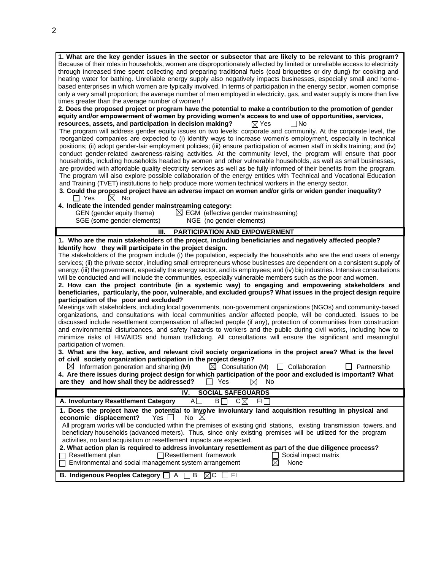**1. What are the key gender issues in the sector or subsector that are likely to be relevant to this program?**  Because of their roles in households, women are disproportionately affected by limited or unreliable access to electricity through increased time spent collecting and preparing traditional fuels (coal briquettes or dry dung) for cooking and heating water for bathing. Unreliable energy supply also negatively impacts businesses, especially small and homebased enterprises in which women are typically involved. In terms of participation in the energy sector, women comprise only a very small proportion; the average number of men employed in electricity, gas, and water supply is more than five times greater than the average number of women.<sup>f</sup> **2. Does the proposed project or program have the potential to make a contribution to the promotion of gender equity and/or empowerment of women by providing women's access to and use of opportunities, services, resources, assets, and participation in decision making?**  $\boxtimes$  Yes  $\Box$  No The program will address gender equity issues on two levels: corporate and community. At the corporate level, the reorganized companies are expected to (i) identify ways to increase women's employment, especially in technical positions; (ii) adopt gender-fair employment policies; (iii) ensure participation of women staff in skills training; and (iv) conduct gender-related awareness-raising activities. At the community level, the program will ensure that poor households, including households headed by women and other vulnerable households, as well as small businesses, are provided with affordable quality electricity services as well as be fully informed of their benefits from the program. The program will also explore possible collaboration of the energy entities with Technical and Vocational Education and Training (TVET) institutions to help produce more women technical workers in the energy sector. **3. Could the proposed project have an adverse impact on women and/or girls or widen gender inequality?**<br>
T Yes  $\boxtimes$  No  $\Box$  Yes **4. Indicate the intended gender mainstreaming category:** GEN (gender equity theme)  $\boxtimes$  EGM (effective gender mainstreaming) SGE (some gender elements) NGE (no gender elements) **III. PARTICIPATION AND EMPOWERMENT 1. Who are the main stakeholders of the project, including beneficiaries and negatively affected people? Identify how they will participate in the project design.** The stakeholders of the program include (i) the population, especially the households who are the end users of energy services; (ii) the private sector, including small entrepreneurs whose businesses are dependent on a consistent supply of energy; (iii) the government, especially the energy sector, and its employees; and (iv) big industries. Intensive consultations will be conducted and will include the communities, especially vulnerable members such as the poor and women. **2. How can the project contribute (in a systemic way) to engaging and empowering stakeholders and beneficiaries, particularly, the poor, vulnerable, and excluded groups? What issues in the project design require participation of the poor and excluded?** Meetings with stakeholders, including local governments, non-government organizations (NGOs) and community-based organizations, and consultations with local communities and/or affected people, will be conducted. Issues to be discussed include resettlement compensation of affected people (if any), protection of communities from construction and environmental disturbances, and safety hazards to workers and the public during civil works, including how to minimize risks of HIV/AIDS and human trafficking. All consultations will ensure the significant and meaningful participation of women. 3. What are the key, active, and relevant civil society organizations in the project area? What is the level **of civil society organization participation in the project design?**  $\boxtimes$  Information generation and sharing (M)  $\boxtimes$  Consultation (M)  $\Box$  Collaboration  $\Box$  Partnership **4. Are there issues during project design for which participation of the poor and excluded is important? What are they and how shall they be addressed?**  $\Box$  Yes  $\Box$  No **IV. SOCIAL SAFEGUARDS A.** Involuntary Resettlement Category AD BD CX FID **1. Does the project have the potential to involve involuntary land acquisition resulting in physical and economic displacement?** Yes □ No ⊠ All program works will be conducted within the premises of existing grid stations, existing transmission towers, and

beneficiary households (advanced meters). Thus, since only existing premises will be utilized for the program activities, no land acquisition or resettlement impacts are expected. **2. What action plan is required to address involuntary resettlement as part of the due diligence process?**  $\Box$ Resettlement framework  $\Box$  Social impact matrix agement system arrangement  $\boxtimes$  None

|  |                                                               | .                |
|--|---------------------------------------------------------------|------------------|
|  | $\Box$ Environmental and social management system arrangement | $\boxtimes$ None |

**B.** Indigenous Peoples Category  $\Box$  A  $\Box$  B  $\boxtimes$  C  $\Box$  FI

2